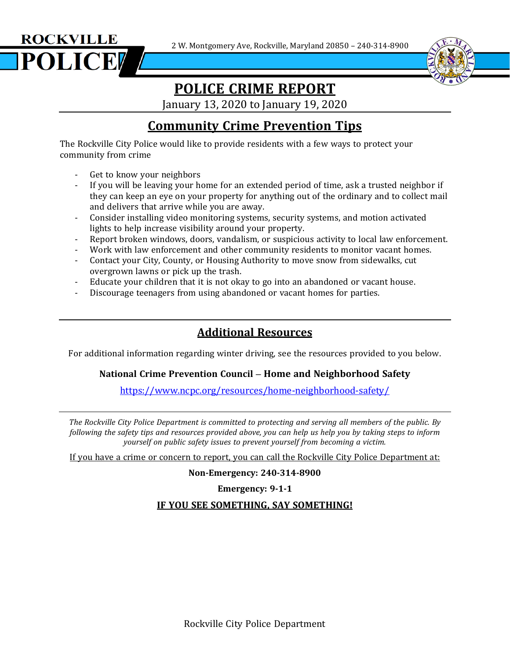2 W. Montgomery Ave, Rockville, Maryland 20850 – 240-314-8900





# **POLICE CRIME REPORT**

January 13, 2020 to January 19, 2020

## **Community Crime Prevention Tips**

The Rockville City Police would like to provide residents with a few ways to protect your community from crime

- Get to know your neighbors
- If you will be leaving your home for an extended period of time, ask a trusted neighbor if they can keep an eye on your property for anything out of the ordinary and to collect mail and delivers that arrive while you are away.
- Consider installing video monitoring systems, security systems, and motion activated lights to help increase visibility around your property.
- Report broken windows, doors, vandalism, or suspicious activity to local law enforcement.
- Work with law enforcement and other community residents to monitor vacant homes.
- Contact your City, County, or Housing Authority to move snow from sidewalks, cut overgrown lawns or pick up the trash.
- Educate your children that it is not okay to go into an abandoned or vacant house.
- Discourage teenagers from using abandoned or vacant homes for parties.

### **Additional Resources**

For additional information regarding winter driving, see the resources provided to you below.

#### **National Crime Prevention Council – Home and Neighborhood Safety**

<https://www.ncpc.org/resources/home-neighborhood-safety/>

*The Rockville City Police Department is committed to protecting and serving all members of the public. By* following the safety tips and resources provided above, you can help us help you by taking steps to inform *yourself on public safety issues to prevent yourself from becoming a victim.*

If you have a crime or concern to report, you can call the Rockville City Police Department at:

**Non-Emergency: 240-314-8900**

**Emergency: 9-1-1**

#### **IF YOU SEE SOMETHING, SAY SOMETHING!**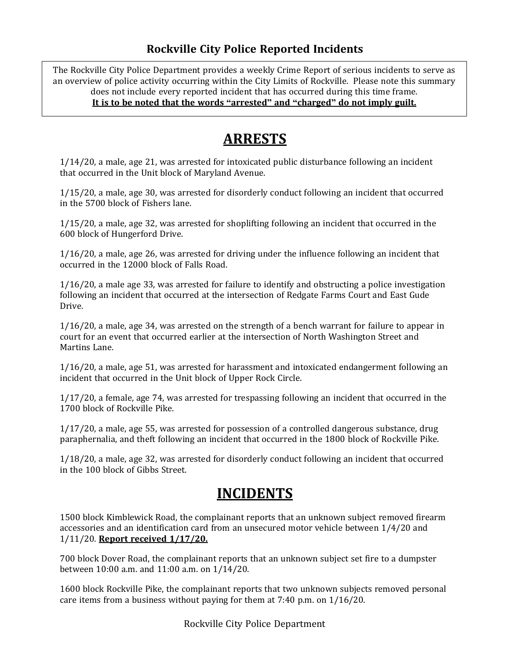### **Rockville City Police Reported Incidents**

 $\overline{a}$ The Rockville City Police Department provides a weekly Crime Report of serious incidents to serve as an overview of police activity occurring within the City Limits of Rockville. Please note this summary does not include every reported incident that has occurred during this time frame. **It is to be noted that the words "arrested" and "charged" do not imply guilt.**

## **ARRESTS**

1/14/20, a male, age 21, was arrested for intoxicated public disturbance following an incident that occurred in the Unit block of Maryland Avenue.

1/15/20, a male, age 30, was arrested for disorderly conduct following an incident that occurred in the 5700 block of Fishers lane.

1/15/20, a male, age 32, was arrested for shoplifting following an incident that occurred in the 600 block of Hungerford Drive.

1/16/20, a male, age 26, was arrested for driving under the influence following an incident that occurred in the 12000 block of Falls Road.

1/16/20, a male age 33, was arrested for failure to identify and obstructing a police investigation following an incident that occurred at the intersection of Redgate Farms Court and East Gude Drive.

1/16/20, a male, age 34, was arrested on the strength of a bench warrant for failure to appear in court for an event that occurred earlier at the intersection of North Washington Street and Martins Lane.

1/16/20, a male, age 51, was arrested for harassment and intoxicated endangerment following an incident that occurred in the Unit block of Upper Rock Circle.

1/17/20, a female, age 74, was arrested for trespassing following an incident that occurred in the 1700 block of Rockville Pike.

1/17/20, a male, age 55, was arrested for possession of a controlled dangerous substance, drug paraphernalia, and theft following an incident that occurred in the 1800 block of Rockville Pike.

1/18/20, a male, age 32, was arrested for disorderly conduct following an incident that occurred in the 100 block of Gibbs Street.

### **INCIDENTS**

1500 block Kimblewick Road, the complainant reports that an unknown subject removed firearm accessories and an identification card from an unsecured motor vehicle between 1/4/20 and 1/11/20. **Report received 1/17/20.**

700 block Dover Road, the complainant reports that an unknown subject set fire to a dumpster between 10:00 a.m. and 11:00 a.m. on 1/14/20.

1600 block Rockville Pike, the complainant reports that two unknown subjects removed personal care items from a business without paying for them at 7:40 p.m. on 1/16/20.

Rockville City Police Department